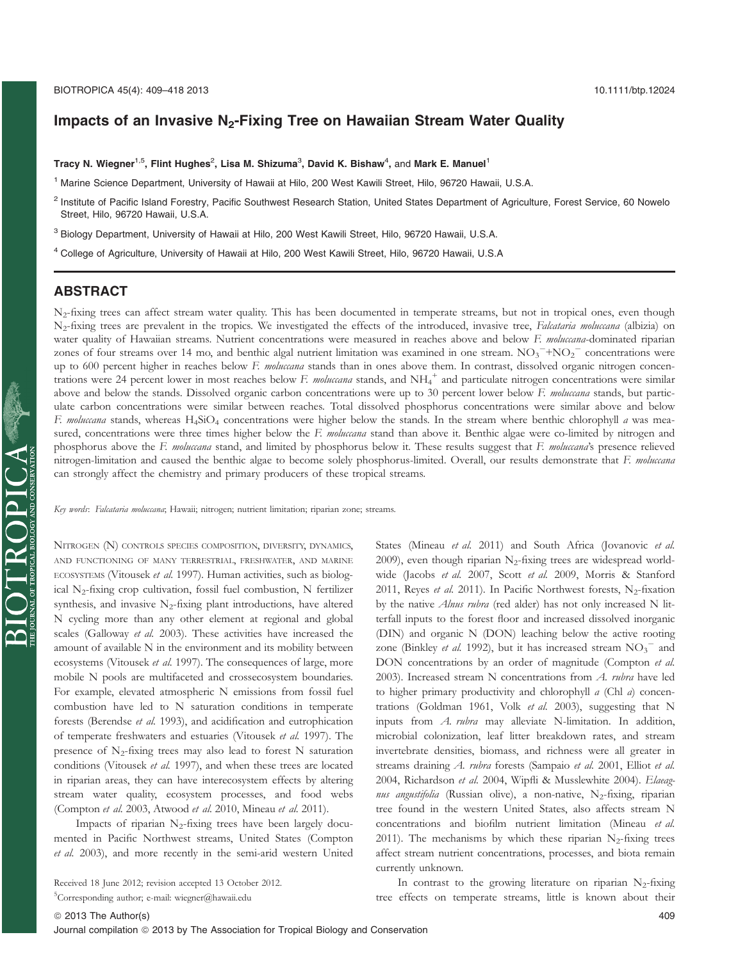# Impacts of an Invasive  $N_2$ -Fixing Tree on Hawaiian Stream Water Quality

#### Tracy N. Wiegner $^{1,5}$ , Flint Hughes $^2$ , Lisa M. Shizuma $^3$ , David K. Bishaw $^4$ , and Mark E. Manuel $^1$

<sup>1</sup> Marine Science Department, University of Hawaii at Hilo, 200 West Kawili Street, Hilo, 96720 Hawaii, U.S.A.

<sup>2</sup> Institute of Pacific Island Forestry, Pacific Southwest Research Station, United States Department of Agriculture, Forest Service, 60 Nowelo Street, Hilo, 96720 Hawaii, U.S.A.

<sup>3</sup> Biology Department, University of Hawaii at Hilo, 200 West Kawili Street, Hilo, 96720 Hawaii, U.S.A.

<sup>4</sup> College of Agriculture, University of Hawaii at Hilo, 200 West Kawili Street, Hilo, 96720 Hawaii, U.S.A

# ABSTRACT

N<sub>2</sub>-fixing trees can affect stream water quality. This has been documented in temperate streams, but not in tropical ones, even though N<sub>2</sub>-fixing trees are prevalent in the tropics. We investigated the effects of the introduced, invasive tree, *Falcataria moluccana* (albizia) on water quality of Hawaiian streams. Nutrient concentrations were measured in reaches above and below F. molucana-dominated riparian zones of four streams over 14 mo, and benthic algal nutrient limitation was examined in one stream.  $NO_3$ <sup>-+</sup> $NO_2$ <sup>-</sup> concentrations were up to 600 percent higher in reaches below F. moluccana stands than in ones above them. In contrast, dissolved organic nitrogen concentrations were 24 percent lower in most reaches below F. moluccana stands, and NH<sub>4</sub><sup>+</sup> and particulate nitrogen concentrations were similar above and below the stands. Dissolved organic carbon concentrations were up to 30 percent lower below F. molucana stands, but particulate carbon concentrations were similar between reaches. Total dissolved phosphorus concentrations were similar above and below F. moluccana stands, whereas H<sub>4</sub>SiO<sub>4</sub> concentrations were higher below the stands. In the stream where benthic chlorophyll a was measured, concentrations were three times higher below the F. molucana stand than above it. Benthic algae were co-limited by nitrogen and phosphorus above the F. moluccana stand, and limited by phosphorus below it. These results suggest that F. moluccana's presence relieved nitrogen-limitation and caused the benthic algae to become solely phosphorus-limited. Overall, our results demonstrate that F. moluccana can strongly affect the chemistry and primary producers of these tropical streams.

Key words: Falcataria moluccana; Hawaii; nitrogen; nutrient limitation; riparian zone; streams.

NITROGEN (N) CONTROLS SPECIES COMPOSITION, DIVERSITY, DYNAMICS, AND FUNCTIONING OF MANY TERRESTRIAL, FRESHWATER, AND MARINE ECOSYSTEMS (Vitousek et al. 1997). Human activities, such as biological N2-fixing crop cultivation, fossil fuel combustion, N fertilizer synthesis, and invasive  $N_2$ -fixing plant introductions, have altered N cycling more than any other element at regional and global scales (Galloway et al. 2003). These activities have increased the amount of available N in the environment and its mobility between ecosystems (Vitousek et al. 1997). The consequences of large, more mobile N pools are multifaceted and crossecosystem boundaries. For example, elevated atmospheric N emissions from fossil fuel combustion have led to N saturation conditions in temperate forests (Berendse et al. 1993), and acidification and eutrophication of temperate freshwaters and estuaries (Vitousek et al. 1997). The presence of  $N_2$ -fixing trees may also lead to forest N saturation conditions (Vitousek et al. 1997), and when these trees are located in riparian areas, they can have interecosystem effects by altering stream water quality, ecosystem processes, and food webs (Compton et al. 2003, Atwood et al. 2010, Mineau et al. 2011).

Impacts of riparian  $N_2$ -fixing trees have been largely documented in Pacific Northwest streams, United States (Compton et al. 2003), and more recently in the semi-arid western United

Received 18 June 2012; revision accepted 13 October 2012.

5 Corresponding author; e-mail: wiegner@hawaii.edu

States (Mineau et al. 2011) and South Africa (Jovanovic et al. 2009), even though riparian  $N_2$ -fixing trees are widespread worldwide (Jacobs et al. 2007, Scott et al. 2009, Morris & Stanford 2011, Reyes et al. 2011). In Pacific Northwest forests,  $N_2$ -fixation by the native *Alnus rubra* (red alder) has not only increased N litterfall inputs to the forest floor and increased dissolved inorganic (DIN) and organic N (DON) leaching below the active rooting zone (Binkley et al. 1992), but it has increased stream  $NO_3^-$  and DON concentrations by an order of magnitude (Compton et al. 2003). Increased stream N concentrations from A. rubra have led to higher primary productivity and chlorophyll a (Chl a) concentrations (Goldman 1961, Volk et al. 2003), suggesting that N inputs from A. rubra may alleviate N-limitation. In addition, microbial colonization, leaf litter breakdown rates, and stream invertebrate densities, biomass, and richness were all greater in streams draining A. rubra forests (Sampaio et al. 2001, Elliot et al. 2004, Richardson et al. 2004, Wipfli & Musslewhite 2004). Elaeagnus angustifolia (Russian olive), a non-native,  $N_2$ -fixing, riparian tree found in the western United States, also affects stream N concentrations and biofilm nutrient limitation (Mineau et al. 2011). The mechanisms by which these riparian  $N_2$ -fixing trees affect stream nutrient concentrations, processes, and biota remain currently unknown.

In contrast to the growing literature on riparian  $N_2$ -fixing tree effects on temperate streams, little is known about their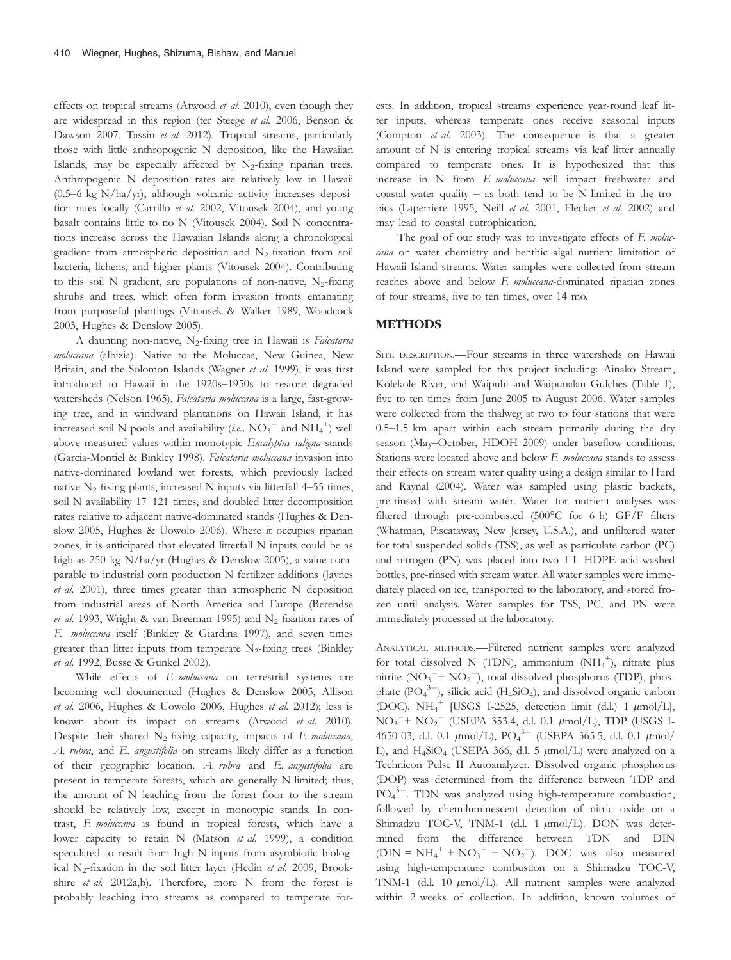effects on tropical streams (Atwood et al. 2010), even though they are widespread in this region (ter Steege et al. 2006, Benson & Dawson 2007, Tassin et al. 2012). Tropical streams, particularly those with little anthropogenic N deposition, like the Hawaiian Islands, may be especially affected by  $N_2$ -fixing riparian trees. Anthropogenic N deposition rates are relatively low in Hawaii  $(0.5-6 \text{ kg N/ha/yr})$ , although volcanic activity increases deposition rates locally (Carrillo et al. 2002, Vitousek 2004), and young basalt contains little to no N (Vitousek 2004). Soil N concentrations increase across the Hawaiian Islands along a chronological gradient from atmospheric deposition and  $N_2$ -fixation from soil bacteria, lichens, and higher plants (Vitousek 2004). Contributing to this soil N gradient, are populations of non-native,  $N_2$ -fixing shrubs and trees, which often form invasion fronts emanating from purposeful plantings (Vitousek & Walker 1989, Woodcock 2003, Hughes & Denslow 2005).

A daunting non-native,  $N_2$ -fixing tree in Hawaii is Falcataria moluccana (albizia). Native to the Moluccas, New Guinea, New Britain, and the Solomon Islands (Wagner et al. 1999), it was first introduced to Hawaii in the 1920s–1950s to restore degraded watersheds (Nelson 1965). Falcataria moluccana is a large, fast-growing tree, and in windward plantations on Hawaii Island, it has increased soil N pools and availability (*i.e.*,  $\text{NO}_3^-$  and  $\text{NH}_4^+$ ) well above measured values within monotypic Eucalyptus saligna stands (Garcia-Montiel & Binkley 1998). Falcataria moluccana invasion into native-dominated lowland wet forests, which previously lacked native  $N_2$ -fixing plants, increased N inputs via litterfall 4–55 times, soil N availability 17–121 times, and doubled litter decomposition rates relative to adjacent native-dominated stands (Hughes & Denslow 2005, Hughes & Uowolo 2006). Where it occupies riparian zones, it is anticipated that elevated litterfall N inputs could be as high as 250 kg N/ha/yr (Hughes & Denslow 2005), a value comparable to industrial corn production N fertilizer additions (Jaynes et al. 2001), three times greater than atmospheric N deposition from industrial areas of North America and Europe (Berendse et al. 1993, Wright & van Breeman 1995) and N<sub>2</sub>-fixation rates of F. moluccana itself (Binkley & Giardina 1997), and seven times greater than litter inputs from temperate  $N_2$ -fixing trees (Binkley et al. 1992, Busse & Gunkel 2002).

While effects of F. moluccana on terrestrial systems are becoming well documented (Hughes & Denslow 2005, Allison et al. 2006, Hughes & Uowolo 2006, Hughes et al. 2012); less is known about its impact on streams (Atwood et al. 2010). Despite their shared N<sub>2</sub>-fixing capacity, impacts of F. moluccana, A. rubra, and E. angustifolia on streams likely differ as a function of their geographic location. A. rubra and E. angustifolia are present in temperate forests, which are generally N-limited; thus, the amount of N leaching from the forest floor to the stream should be relatively low, except in monotypic stands. In contrast, F. moluccana is found in tropical forests, which have a lower capacity to retain N (Matson et al. 1999), a condition speculated to result from high N inputs from asymbiotic biological N<sub>2</sub>-fixation in the soil litter layer (Hedin et al. 2009, Brookshire et al. 2012a,b). Therefore, more N from the forest is probably leaching into streams as compared to temperate forests. In addition, tropical streams experience year-round leaf litter inputs, whereas temperate ones receive seasonal inputs (Compton et al. 2003). The consequence is that a greater amount of N is entering tropical streams via leaf litter annually compared to temperate ones. It is hypothesized that this increase in N from F. moluccana will impact freshwater and coastal water quality – as both tend to be N-limited in the tropics (Laperriere 1995, Neill et al. 2001, Flecker et al. 2002) and may lead to coastal eutrophication.

The goal of our study was to investigate effects of F. moluccana on water chemistry and benthic algal nutrient limitation of Hawaii Island streams. Water samples were collected from stream reaches above and below F. moluccana-dominated riparian zones of four streams, five to ten times, over 14 mo.

### METHODS

SITE DESCRIPTION.- Four streams in three watersheds on Hawaii Island were sampled for this project including: Ainako Stream, Kolekole River, and Waipuhi and Waipunalau Gulches (Table 1), five to ten times from June 2005 to August 2006. Water samples were collected from the thalweg at two to four stations that were 0.5–1.5 km apart within each stream primarily during the dry season (May–October, HDOH 2009) under baseflow conditions. Stations were located above and below F. moluccana stands to assess their effects on stream water quality using a design similar to Hurd and Raynal (2004). Water was sampled using plastic buckets, pre-rinsed with stream water. Water for nutrient analyses was filtered through pre-combusted (500°C for 6 h) GF/F filters (Whatman, Piscataway, New Jersey, U.S.A.), and unfiltered water for total suspended solids (TSS), as well as particulate carbon (PC) and nitrogen (PN) was placed into two 1-L HDPE acid-washed bottles, pre-rinsed with stream water. All water samples were immediately placed on ice, transported to the laboratory, and stored frozen until analysis. Water samples for TSS, PC, and PN were immediately processed at the laboratory.

ANALYTICAL METHODS.—Filtered nutrient samples were analyzed for total dissolved N (TDN), ammonium  $(NH_4^+)$ , nitrate plus nitrite  $(NO<sub>3</sub><sup>-</sup> + NO<sub>2</sub><sup>-</sup>)$ , total dissolved phosphorus (TDP), phosphate  $(PO_4^{3-})$ , silicic acid (H<sub>4</sub>SiO<sub>4</sub>), and dissolved organic carbon (DOC).  $NH_4^+$  [USGS I-2525, detection limit (d.l.) 1  $\mu$ mol/L],  $NO_3^-+ NO_2^-$  (USEPA 353.4, d.l. 0.1  $\mu$ mol/L), TDP (USGS I-4650-03, d.l. 0.1  $\mu$ mol/L), PO<sub>4</sub><sup>3-</sup> (USEPA 365.5, d.l. 0.1  $\mu$ mol/ L), and  $H_4SiO_4$  (USEPA 366, d.l. 5  $\mu$ mol/L) were analyzed on a Technicon Pulse II Autoanalyzer. Dissolved organic phosphorus (DOP) was determined from the difference between TDP and PO<sub>4</sub><sup>3-</sup>. TDN was analyzed using high-temperature combustion, followed by chemiluminescent detection of nitric oxide on a Shimadzu TOC-V, TNM-1 (d.l. 1  $\mu$ mol/L). DON was determined from the difference between TDN and DIN  $(DIN = NH_4^+ + NO_3^- + NO_2^-)$ . DOC was also measured using high-temperature combustion on a Shimadzu TOC-V, TNM-1 (d.l. 10  $\mu$ mol/L). All nutrient samples were analyzed within 2 weeks of collection. In addition, known volumes of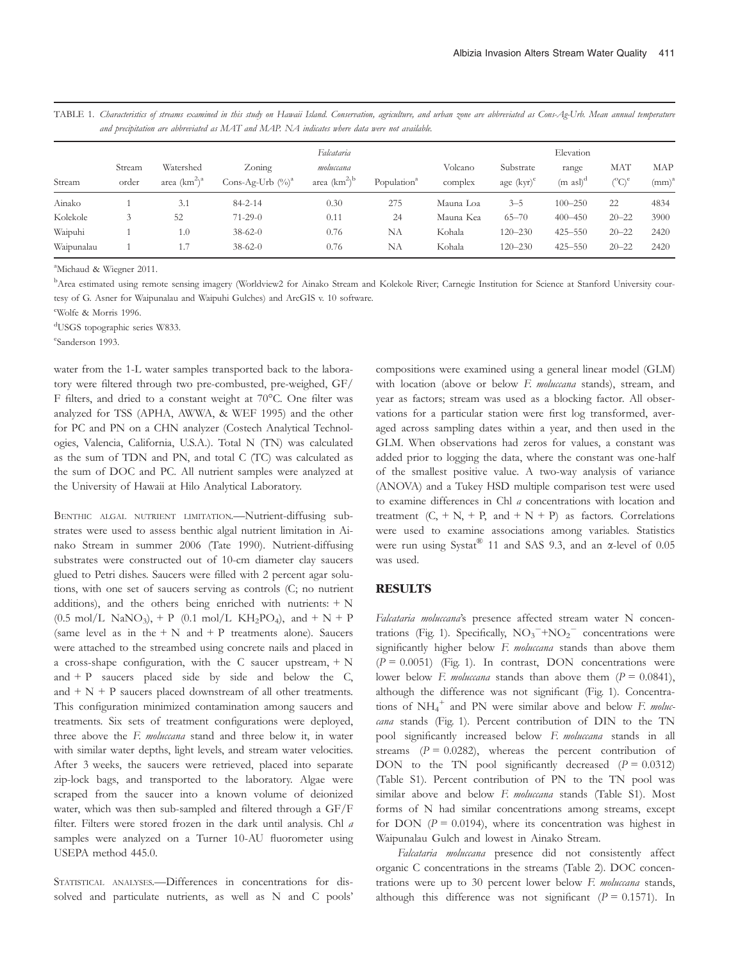| and precipitation are abbreviated as MAT and MAP. NA indicates where data were not available. |            |                 |                      |                                      |                         |           |               |                       |                   |            |  |  |
|-----------------------------------------------------------------------------------------------|------------|-----------------|----------------------|--------------------------------------|-------------------------|-----------|---------------|-----------------------|-------------------|------------|--|--|
|                                                                                               | Falcataria |                 |                      |                                      |                         |           | Elevation     |                       |                   |            |  |  |
|                                                                                               | Stream     | Watershed       | Zoning               | moluccana                            |                         | Volcano   | Substrate     | range                 | MAT               | MAP        |  |  |
| Stream                                                                                        | order      | area $(km^2)^a$ | Cons-Ag-Urb $(\%)^a$ | area (km <sup>2</sup> ) <sup>b</sup> | Population <sup>a</sup> | complex   | age $(kvr)^c$ | $(m \text{ as } l)^d$ | $({}^{\circ}C)^e$ | $(mm)^{a}$ |  |  |
| Ainako                                                                                        |            |                 | $84 - 2 - 14$        | 0.30                                 | 275                     | Mauna Loa | $3 - 5$       | $100 - 250$           | 22                | 4834       |  |  |

Kolekole 3 52 71-29-0 0.11 24 Mauna Kea 65–70 400–450 20–22 3900 Waipuhi 1 1.0 38-62-0 0.76 NA Kohala 120–230 425–550 20–22 2420 Waipunalau 1 1.7 38-62-0 0.76 NA Kohala 120–230 425–550 20–22 2420

TABLE 1. Characteristics of streams examined in this study on Hawaii Island. Conservation, agriculture, and urban zone are abbreviated as Cons-Ag-Urb. Mean annual temperature

a Michaud & Wiegner 2011.

**B** Area estimated using remote sensing imagery (Worldview2 for Ainako Stream and Kolekole River; Carnegie Institution for Science at Stanford University courtesy of G. Asner for Waipunalau and Waipuhi Gulches) and ArcGIS v. 10 software.

c Wolfe & Morris 1996.

d USGS topographic series W833.

e Sanderson 1993.

water from the 1-L water samples transported back to the laboratory were filtered through two pre-combusted, pre-weighed, GF/ F filters, and dried to a constant weight at 70°C. One filter was analyzed for TSS (APHA, AWWA, & WEF 1995) and the other for PC and PN on a CHN analyzer (Costech Analytical Technologies, Valencia, California, U.S.A.). Total N (TN) was calculated as the sum of TDN and PN, and total C (TC) was calculated as the sum of DOC and PC. All nutrient samples were analyzed at the University of Hawaii at Hilo Analytical Laboratory.

BENTHIC ALGAL NUTRIENT LIMITATION.—Nutrient-diffusing substrates were used to assess benthic algal nutrient limitation in Ainako Stream in summer 2006 (Tate 1990). Nutrient-diffusing substrates were constructed out of 10-cm diameter clay saucers glued to Petri dishes. Saucers were filled with 2 percent agar solutions, with one set of saucers serving as controls (C; no nutrient additions), and the others being enriched with nutrients:  $+ N$  $(0.5 \text{ mol/L} \text{ NaNO}_3)$ , + P  $(0.1 \text{ mol/L} \text{ KH}_2\text{PO}_4)$ , and + N + P (same level as in the  $+ N$  and  $+ P$  treatments alone). Saucers were attached to the streambed using concrete nails and placed in a cross-shape configuration, with the C saucer upstream, + N and  $+$  P saucers placed side by side and below the C, and  $+ N + P$  saucers placed downstream of all other treatments. This configuration minimized contamination among saucers and treatments. Six sets of treatment configurations were deployed, three above the F. moluccana stand and three below it, in water with similar water depths, light levels, and stream water velocities. After 3 weeks, the saucers were retrieved, placed into separate zip-lock bags, and transported to the laboratory. Algae were scraped from the saucer into a known volume of deionized water, which was then sub-sampled and filtered through a GF/F filter. Filters were stored frozen in the dark until analysis. Chl a samples were analyzed on a Turner 10-AU fluorometer using USEPA method 445.0.

STATISTICAL ANALYSES.—Differences in concentrations for dissolved and particulate nutrients, as well as N and C pools' compositions were examined using a general linear model (GLM) with location (above or below F. moluccana stands), stream, and year as factors; stream was used as a blocking factor. All observations for a particular station were first log transformed, averaged across sampling dates within a year, and then used in the GLM. When observations had zeros for values, a constant was added prior to logging the data, where the constant was one-half of the smallest positive value. A two-way analysis of variance (ANOVA) and a Tukey HSD multiple comparison test were used to examine differences in Chl a concentrations with location and treatment  $(C, +N, +P, \text{ and } +N+P)$  as factors. Correlations were used to examine associations among variables. Statistics were run using Systat<sup>®</sup> 11 and SAS 9.3, and an  $\alpha$ -level of 0.05 was used.

### RESULTS

Falcataria moluccana's presence affected stream water N concentrations (Fig. 1). Specifically,  $NO_3$ <sup>-+</sup> $NO_2$ <sup>-</sup> concentrations were significantly higher below F. moluccana stands than above them  $(P = 0.0051)$  (Fig. 1). In contrast, DON concentrations were lower below F. moluccana stands than above them  $(P = 0.0841)$ , although the difference was not significant (Fig. 1). Concentrations of  $NH_4^+$  and PN were similar above and below F. moluccana stands (Fig. 1). Percent contribution of DIN to the TN pool significantly increased below F. moluccana stands in all streams  $(P = 0.0282)$ , whereas the percent contribution of DON to the TN pool significantly decreased  $(P = 0.0312)$ (Table S1). Percent contribution of PN to the TN pool was similar above and below F. moluccana stands (Table S1). Most forms of N had similar concentrations among streams, except for DON  $(P = 0.0194)$ , where its concentration was highest in Waipunalau Gulch and lowest in Ainako Stream.

Falcataria moluccana presence did not consistently affect organic C concentrations in the streams (Table 2). DOC concentrations were up to 30 percent lower below F. moluccana stands, although this difference was not significant ( $P = 0.1571$ ). In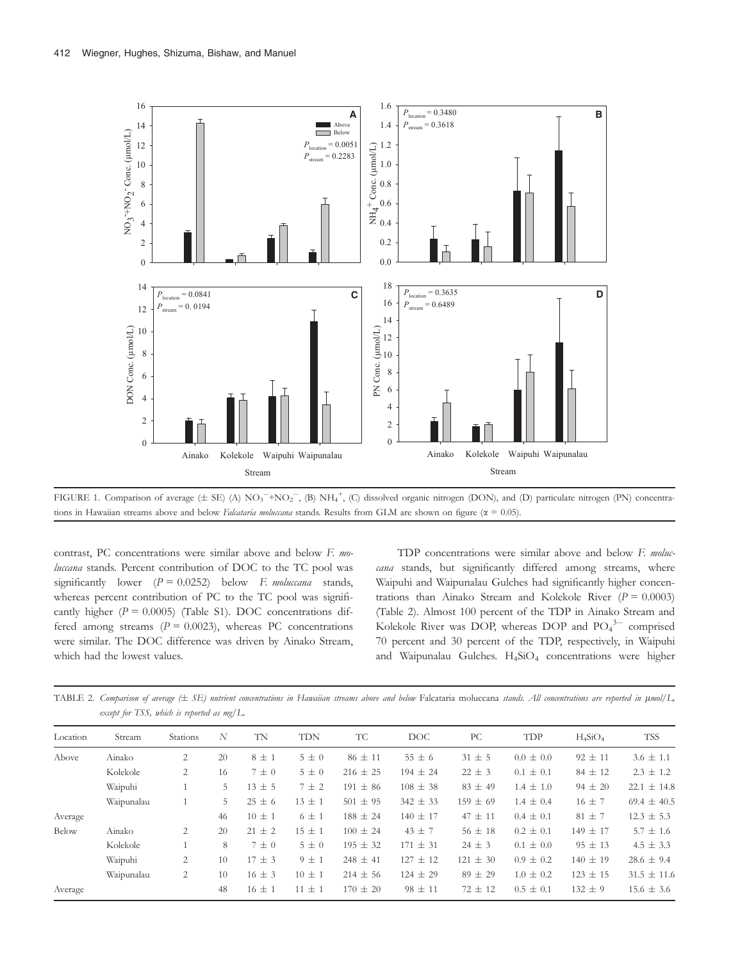



contrast, PC concentrations were similar above and below F. moluccana stands. Percent contribution of DOC to the TC pool was significantly lower  $(P = 0.0252)$  below F. moluccana stands, whereas percent contribution of PC to the TC pool was significantly higher  $(P = 0.0005)$  (Table S1). DOC concentrations differed among streams  $(P = 0.0023)$ , whereas PC concentrations were similar. The DOC difference was driven by Ainako Stream, which had the lowest values.

TDP concentrations were similar above and below F. moluccana stands, but significantly differed among streams, where Waipuhi and Waipunalau Gulches had significantly higher concentrations than Ainako Stream and Kolekole River ( $P = 0.0003$ ) (Table 2). Almost 100 percent of the TDP in Ainako Stream and Kolekole River was DOP, whereas DOP and  $PO_4^{3-}$  comprised 70 percent and 30 percent of the TDP, respectively, in Waipuhi and Waipunalau Gulches. H<sub>4</sub>SiO<sub>4</sub> concentrations were higher

TABLE 2. Comparison of average (± SE) nutrient concentrations in Hawaiian streams above and below Falcataria moluccana stands. All concentrations are reported in  $\mu$ mol/L, except for TSS, which is reported as mg/L.

| Location | Stream     | <b>Stations</b> | N  | TN         | <b>TDN</b> | <b>TC</b>    | DOC.         | PC           | TDP           | $H_4SiO_4$   | <b>TSS</b>      |
|----------|------------|-----------------|----|------------|------------|--------------|--------------|--------------|---------------|--------------|-----------------|
| Above    | Ainako     | 2               | 20 | $8 \pm 1$  | $5\pm0$    | $86 \pm 11$  | $55 \pm 6$   | $31 \pm 5$   | $0.0 \pm 0.0$ | $92 \pm 11$  | $3.6 \pm 1.1$   |
|          | Kolekole   | 2               | 16 | $7 \pm 0$  | $5\pm0$    | $216 \pm 25$ | $194 \pm 24$ | $22 \pm 3$   | $0.1 \pm 0.1$ | $84 \pm 12$  | $2.3 \pm 1.2$   |
|          | Waipuhi    |                 | 5  | $13 \pm 5$ | $7 \pm 2$  | $191 \pm 86$ | $108 \pm 38$ | $83 \pm 49$  | $1.4 \pm 1.0$ | $94 \pm 20$  | $22.1 \pm 14.8$ |
|          | Waipunalau |                 | 5  | $25 \pm 6$ | $13 \pm 1$ | $501 \pm 95$ | $342 \pm 33$ | $159 \pm 69$ | $1.4 \pm 0.4$ | $16 \pm 7$   | 69.4 $\pm$ 40.5 |
| Average  |            |                 | 46 | $10 \pm 1$ | $6 \pm 1$  | $188 \pm 24$ | $140 \pm 17$ | $47 \pm 11$  | $0.4 \pm 0.1$ | $81 \pm 7$   | $12.3 \pm 5.3$  |
| Below    | Ainako     | 2               | 20 | $21 \pm 2$ | $15 \pm 1$ | $100 \pm 24$ | $43 \pm 7$   | $56 \pm 18$  | $0.2 \pm 0.1$ | $149 \pm 17$ | $5.7 \pm 1.6$   |
|          | Kolekole   |                 | 8  | $7 \pm 0$  | $5\pm0$    | $195 \pm 32$ | $171 \pm 31$ | $24 \pm 3$   | $0.1 \pm 0.0$ | $95 \pm 13$  | $4.5 \pm 3.3$   |
|          | Waipuhi    | $\overline{2}$  | 10 | $17 \pm 3$ | $9 \pm 1$  | $248 \pm 41$ | $127 \pm 12$ | $121 \pm 30$ | $0.9 \pm 0.2$ | $140 \pm 19$ | $28.6 \pm 9.4$  |
|          | Waipunalau | 2               | 10 | $16 \pm 3$ | $10 \pm 1$ | $214 \pm 56$ | $124 \pm 29$ | $89 \pm 29$  | $1.0 \pm 0.2$ | $123 \pm 15$ | $31.5 \pm 11.6$ |
| Average  |            |                 | 48 | $16 \pm 1$ | $11 \pm 1$ | $170 \pm 20$ | $98 \pm 11$  | $72 \pm 12$  | $0.5 \pm 0.1$ | $132 \pm 9$  | $15.6 \pm 3.6$  |
|          |            |                 |    |            |            |              |              |              |               |              |                 |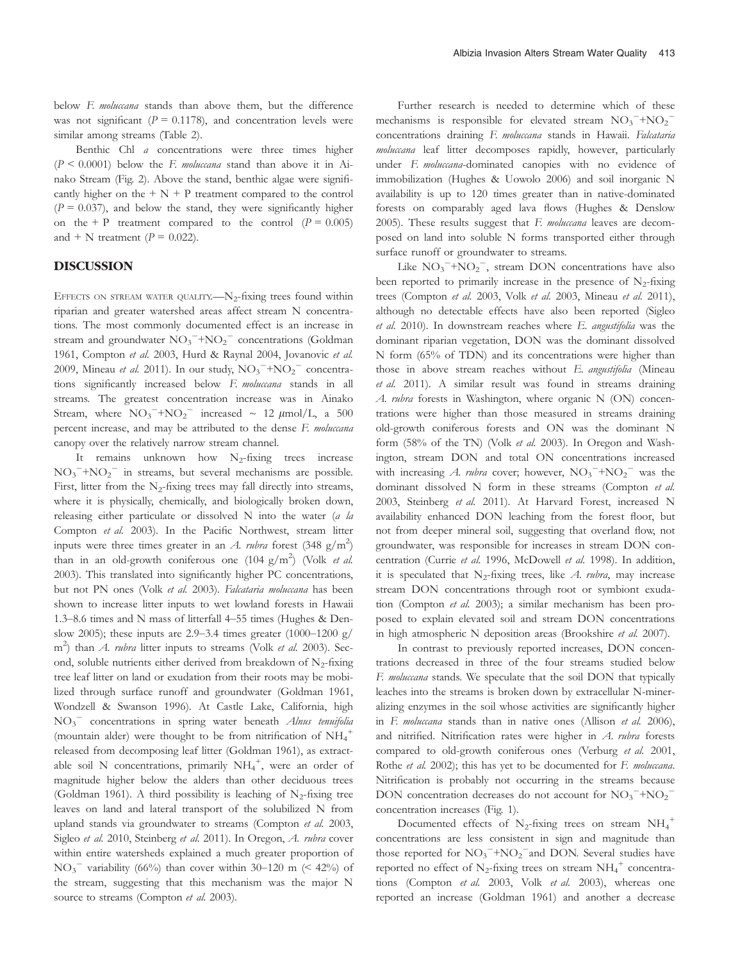below F. moluccana stands than above them, but the difference was not significant ( $P = 0.1178$ ), and concentration levels were similar among streams (Table 2).

Benthic Chl a concentrations were three times higher  $(P \le 0.0001)$  below the F. moluccana stand than above it in Ainako Stream (Fig. 2). Above the stand, benthic algae were significantly higher on the  $+ N + P$  treatment compared to the control  $(P = 0.037)$ , and below the stand, they were significantly higher on the + P treatment compared to the control  $(P = 0.005)$ and + N treatment ( $P = 0.022$ ).

# DISCUSSION

EFFECTS ON STREAM WATER QUALITY.  $-N_2$ -fixing trees found within riparian and greater watershed areas affect stream N concentrations. The most commonly documented effect is an increase in stream and groundwater  $NO_3$ <sup>-+</sup> $NO_2$ <sup>-</sup> concentrations (Goldman 1961, Compton et al. 2003, Hurd & Raynal 2004, Jovanovic et al. 2009, Mineau et al. 2011). In our study,  $NO_3^{-} + NO_2^{-}$  concentrations significantly increased below F. moluccana stands in all streams. The greatest concentration increase was in Ainako Stream, where  $NO_3^- + NO_2^-$  increased ~ 12  $\mu$ mol/L, a 500 percent increase, and may be attributed to the dense F. moluccana canopy over the relatively narrow stream channel.

It remains unknown how  $N_2$ -fixing trees increase  $NO_3^- + NO_2^-$  in streams, but several mechanisms are possible. First, litter from the  $N_2$ -fixing trees may fall directly into streams, where it is physically, chemically, and biologically broken down, releasing either particulate or dissolved N into the water (a la Compton et al. 2003). In the Pacific Northwest, stream litter inputs were three times greater in an A. rubra forest  $(348 \text{ g/m}^2)$ than in an old-growth coniferous one  $(104 \text{ g/m}^2)$  (Volk *et al.*) 2003). This translated into significantly higher PC concentrations, but not PN ones (Volk et al. 2003). Falcataria moluccana has been shown to increase litter inputs to wet lowland forests in Hawaii 1.3–8.6 times and N mass of litterfall 4–55 times (Hughes & Denslow 2005); these inputs are 2.9–3.4 times greater (1000–1200 g/ m<sup>2</sup>) than *A. rubra* litter inputs to streams (Volk *et al.* 2003). Second, soluble nutrients either derived from breakdown of  $N_2$ -fixing tree leaf litter on land or exudation from their roots may be mobilized through surface runoff and groundwater (Goldman 1961, Wondzell & Swanson 1996). At Castle Lake, California, high  $NO<sub>3</sub><sup>-</sup>$  concentrations in spring water beneath Alnus tenuifolia (mountain alder) were thought to be from nitrification of  $\mathrm{NH}_4^+$ released from decomposing leaf litter (Goldman 1961), as extractable soil N concentrations, primarily  $NH_4^+$ , were an order of magnitude higher below the alders than other deciduous trees (Goldman 1961). A third possibility is leaching of  $N_2$ -fixing tree leaves on land and lateral transport of the solubilized N from upland stands via groundwater to streams (Compton et al. 2003, Sigleo et al. 2010, Steinberg et al. 2011). In Oregon, A. rubra cover within entire watersheds explained a much greater proportion of  $NO<sub>3</sub><sup>-</sup>$  variability (66%) than cover within 30–120 m (< 42%) of the stream, suggesting that this mechanism was the major N source to streams (Compton et al. 2003).

Further research is needed to determine which of these mechanisms is responsible for elevated stream  $NO_3$ <sup>-+</sup> $NO_2$ <sup>-</sup> concentrations draining F. moluccana stands in Hawaii. Falcataria moluccana leaf litter decomposes rapidly, however, particularly under F. moluccana-dominated canopies with no evidence of immobilization (Hughes & Uowolo 2006) and soil inorganic N availability is up to 120 times greater than in native-dominated forests on comparably aged lava flows (Hughes & Denslow 2005). These results suggest that  $F$ . moluccana leaves are decomposed on land into soluble N forms transported either through surface runoff or groundwater to streams.

Like  $NO_3^- + NO_2^-$ , stream DON concentrations have also been reported to primarily increase in the presence of  $N_2$ -fixing trees (Compton et al. 2003, Volk et al. 2003, Mineau et al. 2011), although no detectable effects have also been reported (Sigleo et al. 2010). In downstream reaches where E. angustifolia was the dominant riparian vegetation, DON was the dominant dissolved N form (65% of TDN) and its concentrations were higher than those in above stream reaches without E. angustifolia (Mineau et al. 2011). A similar result was found in streams draining A. rubra forests in Washington, where organic N (ON) concentrations were higher than those measured in streams draining old-growth coniferous forests and ON was the dominant N form (58% of the TN) (Volk et al. 2003). In Oregon and Washington, stream DON and total ON concentrations increased with increasing A. rubra cover; however,  $NO_3$ <sup>-+</sup> $NO_2$ <sup>-</sup> was the dominant dissolved N form in these streams (Compton et al. 2003, Steinberg et al. 2011). At Harvard Forest, increased N availability enhanced DON leaching from the forest floor, but not from deeper mineral soil, suggesting that overland flow, not groundwater, was responsible for increases in stream DON concentration (Currie et al. 1996, McDowell et al. 1998). In addition, it is speculated that  $N_2$ -fixing trees, like A. rubra, may increase stream DON concentrations through root or symbiont exudation (Compton et al. 2003); a similar mechanism has been proposed to explain elevated soil and stream DON concentrations in high atmospheric N deposition areas (Brookshire et al. 2007).

In contrast to previously reported increases, DON concentrations decreased in three of the four streams studied below F. moluccana stands. We speculate that the soil DON that typically leaches into the streams is broken down by extracellular N-mineralizing enzymes in the soil whose activities are significantly higher in F. moluccana stands than in native ones (Allison et al. 2006), and nitrified. Nitrification rates were higher in A. rubra forests compared to old-growth coniferous ones (Verburg et al. 2001, Rothe et al. 2002); this has yet to be documented for F. moluccana. Nitrification is probably not occurring in the streams because DON concentration decreases do not account for  $NO_3$ <sup>-+</sup> $NO_2$ <sup>-</sup> concentration increases (Fig. 1).

Documented effects of  $N_2$ -fixing trees on stream  $NH_4^+$ concentrations are less consistent in sign and magnitude than those reported for  $NO_3^- + NO_2^-$  and DON. Several studies have reported no effect of  $N_2$ -fixing trees on stream  $NH_4^+$  concentrations (Compton et al. 2003, Volk et al. 2003), whereas one reported an increase (Goldman 1961) and another a decrease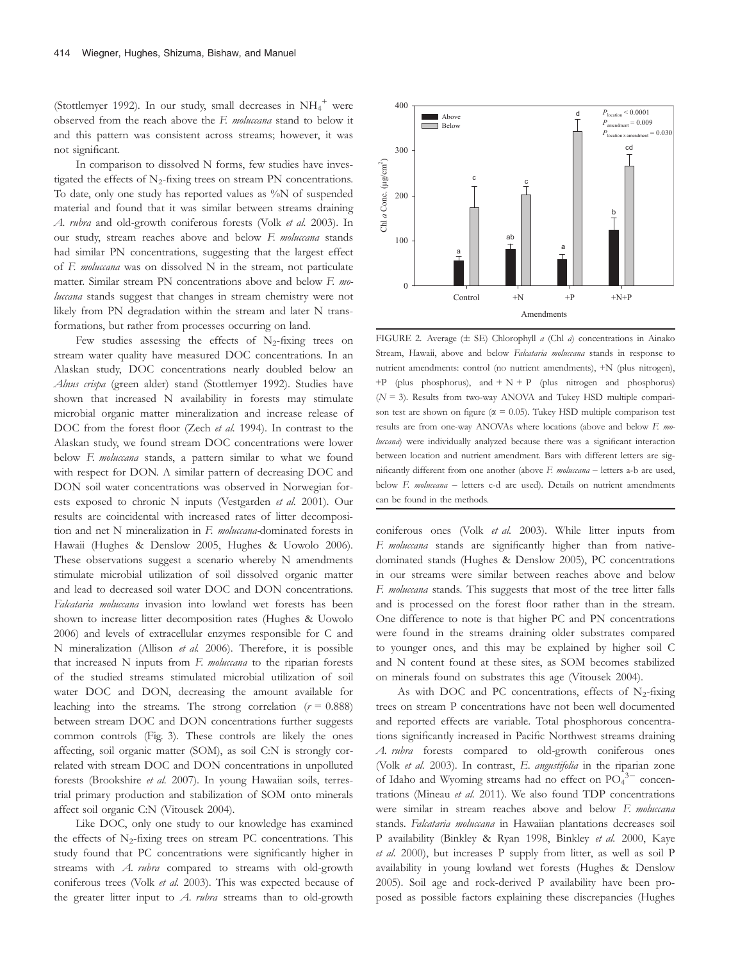(Stottlemyer 1992). In our study, small decreases in  $\mathrm{NH_4}^+$  were observed from the reach above the F. moluccana stand to below it and this pattern was consistent across streams; however, it was not significant.

In comparison to dissolved N forms, few studies have investigated the effects of  $N_2$ -fixing trees on stream PN concentrations. To date, only one study has reported values as %N of suspended material and found that it was similar between streams draining A. rubra and old-growth coniferous forests (Volk et al. 2003). In our study, stream reaches above and below F. moluccana stands had similar PN concentrations, suggesting that the largest effect of F. moluccana was on dissolved N in the stream, not particulate matter. Similar stream PN concentrations above and below F. moluccana stands suggest that changes in stream chemistry were not likely from PN degradation within the stream and later N transformations, but rather from processes occurring on land.

Few studies assessing the effects of  $N_2$ -fixing trees on stream water quality have measured DOC concentrations. In an Alaskan study, DOC concentrations nearly doubled below an Alnus crispa (green alder) stand (Stottlemyer 1992). Studies have shown that increased N availability in forests may stimulate microbial organic matter mineralization and increase release of DOC from the forest floor (Zech et al. 1994). In contrast to the Alaskan study, we found stream DOC concentrations were lower below F. moluccana stands, a pattern similar to what we found with respect for DON. A similar pattern of decreasing DOC and DON soil water concentrations was observed in Norwegian forests exposed to chronic N inputs (Vestgarden et al. 2001). Our results are coincidental with increased rates of litter decomposition and net N mineralization in F. moluccana-dominated forests in Hawaii (Hughes & Denslow 2005, Hughes & Uowolo 2006). These observations suggest a scenario whereby N amendments stimulate microbial utilization of soil dissolved organic matter and lead to decreased soil water DOC and DON concentrations. Falcataria moluccana invasion into lowland wet forests has been shown to increase litter decomposition rates (Hughes & Uowolo 2006) and levels of extracellular enzymes responsible for C and N mineralization (Allison et al. 2006). Therefore, it is possible that increased N inputs from F. moluccana to the riparian forests of the studied streams stimulated microbial utilization of soil water DOC and DON, decreasing the amount available for leaching into the streams. The strong correlation ( $r = 0.888$ ) between stream DOC and DON concentrations further suggests common controls (Fig. 3). These controls are likely the ones affecting, soil organic matter (SOM), as soil C:N is strongly correlated with stream DOC and DON concentrations in unpolluted forests (Brookshire et al. 2007). In young Hawaiian soils, terrestrial primary production and stabilization of SOM onto minerals affect soil organic C:N (Vitousek 2004).

Like DOC, only one study to our knowledge has examined the effects of  $N_2$ -fixing trees on stream PC concentrations. This study found that PC concentrations were significantly higher in streams with A. rubra compared to streams with old-growth coniferous trees (Volk et al. 2003). This was expected because of the greater litter input to  $A$ . *rubra* streams than to old-growth



FIGURE 2. Average  $(\pm$  SE) Chlorophyll a (Chl a) concentrations in Ainako Stream, Hawaii, above and below Falcataria moluccana stands in response to nutrient amendments: control (no nutrient amendments), +N (plus nitrogen),  $+P$  (plus phosphorus), and  $+ N + P$  (plus nitrogen and phosphorus)  $(N = 3)$ . Results from two-way ANOVA and Tukey HSD multiple comparison test are shown on figure ( $\alpha$  = 0.05). Tukey HSD multiple comparison test results are from one-way ANOVAs where locations (above and below F. moluccana) were individually analyzed because there was a significant interaction between location and nutrient amendment. Bars with different letters are significantly different from one another (above F. moluccana – letters a-b are used, below F. moluccana - letters c-d are used). Details on nutrient amendments can be found in the methods.

coniferous ones (Volk et al. 2003). While litter inputs from F. moluccana stands are significantly higher than from nativedominated stands (Hughes & Denslow 2005), PC concentrations in our streams were similar between reaches above and below F. moluccana stands. This suggests that most of the tree litter falls and is processed on the forest floor rather than in the stream. One difference to note is that higher PC and PN concentrations were found in the streams draining older substrates compared to younger ones, and this may be explained by higher soil C and N content found at these sites, as SOM becomes stabilized on minerals found on substrates this age (Vitousek 2004).

As with DOC and PC concentrations, effects of  $N_2$ -fixing trees on stream P concentrations have not been well documented and reported effects are variable. Total phosphorous concentrations significantly increased in Pacific Northwest streams draining A. rubra forests compared to old-growth coniferous ones (Volk et al. 2003). In contrast, E. angustifolia in the riparian zone of Idaho and Wyoming streams had no effect on  $PO_4^{3-}$  concentrations (Mineau et al. 2011). We also found TDP concentrations were similar in stream reaches above and below F. moluccana stands. Falcataria moluccana in Hawaiian plantations decreases soil P availability (Binkley & Ryan 1998, Binkley et al. 2000, Kaye et al. 2000), but increases P supply from litter, as well as soil P availability in young lowland wet forests (Hughes & Denslow 2005). Soil age and rock-derived P availability have been proposed as possible factors explaining these discrepancies (Hughes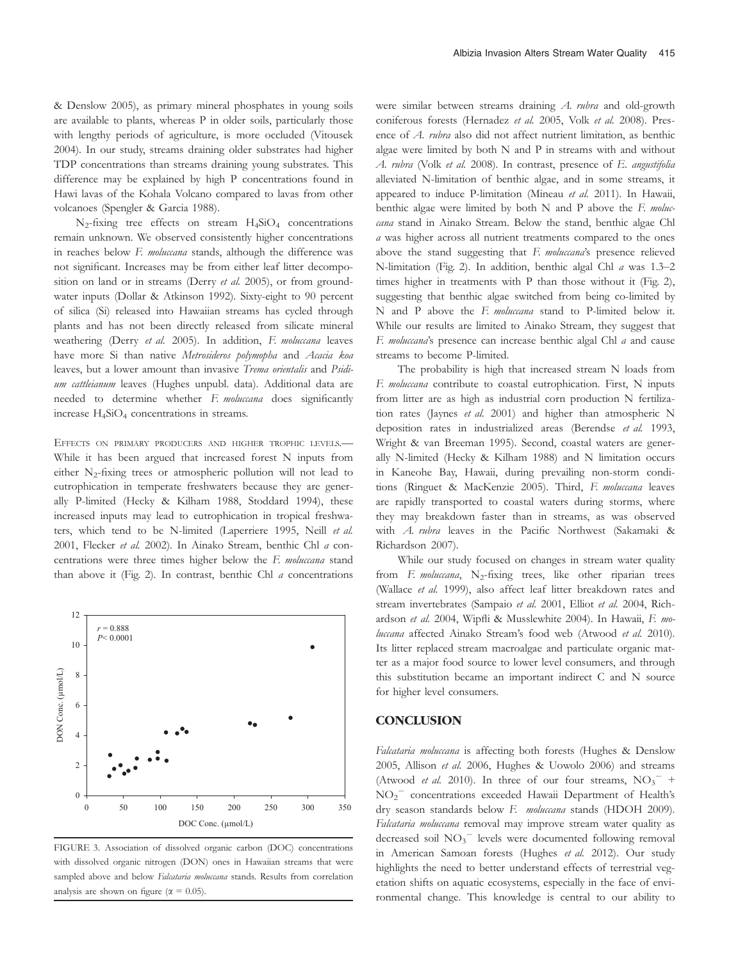& Denslow 2005), as primary mineral phosphates in young soils are available to plants, whereas P in older soils, particularly those with lengthy periods of agriculture, is more occluded (Vitousek 2004). In our study, streams draining older substrates had higher TDP concentrations than streams draining young substrates. This difference may be explained by high P concentrations found in Hawi lavas of the Kohala Volcano compared to lavas from other volcanoes (Spengler & Garcia 1988).

 $N_2$ -fixing tree effects on stream  $H_4SiO_4$  concentrations remain unknown. We observed consistently higher concentrations in reaches below F. moluccana stands, although the difference was not significant. Increases may be from either leaf litter decomposition on land or in streams (Derry et al. 2005), or from groundwater inputs (Dollar & Atkinson 1992). Sixty-eight to 90 percent of silica (Si) released into Hawaiian streams has cycled through plants and has not been directly released from silicate mineral weathering (Derry et al. 2005). In addition, F. moluccana leaves have more Si than native Metrosideros polymopha and Acacia koa leaves, but a lower amount than invasive Trema orientalis and Psidium cattleianum leaves (Hughes unpubl. data). Additional data are needed to determine whether F. moluccana does significantly increase  $H_4SiO_4$  concentrations in streams.

EFFECTS ON PRIMARY PRODUCERS AND HIGHER TROPHIC LEVELS.— While it has been argued that increased forest N inputs from either  $N_2$ -fixing trees or atmospheric pollution will not lead to eutrophication in temperate freshwaters because they are generally P-limited (Hecky & Kilham 1988, Stoddard 1994), these increased inputs may lead to eutrophication in tropical freshwaters, which tend to be N-limited (Laperriere 1995, Neill et al. 2001, Flecker et al. 2002). In Ainako Stream, benthic Chl a concentrations were three times higher below the F. moluccana stand than above it (Fig. 2). In contrast, benthic Chl  $a$  concentrations



FIGURE 3. Association of dissolved organic carbon (DOC) concentrations with dissolved organic nitrogen (DON) ones in Hawaiian streams that were sampled above and below Falcataria moluccana stands. Results from correlation analysis are shown on figure ( $\alpha = 0.05$ ).

were similar between streams draining A. rubra and old-growth coniferous forests (Hernadez et al. 2005, Volk et al. 2008). Presence of A. rubra also did not affect nutrient limitation, as benthic algae were limited by both N and P in streams with and without A. rubra (Volk et al. 2008). In contrast, presence of E. angustifolia alleviated N-limitation of benthic algae, and in some streams, it appeared to induce P-limitation (Mineau et al. 2011). In Hawaii, benthic algae were limited by both  $N$  and  $P$  above the  $F$ . moluccana stand in Ainako Stream. Below the stand, benthic algae Chl a was higher across all nutrient treatments compared to the ones above the stand suggesting that F. moluccana's presence relieved N-limitation (Fig. 2). In addition, benthic algal Chl a was 1.3–2 times higher in treatments with P than those without it (Fig. 2), suggesting that benthic algae switched from being co-limited by N and P above the F. moluccana stand to P-limited below it. While our results are limited to Ainako Stream, they suggest that F. moluccana's presence can increase benthic algal Chl a and cause streams to become P-limited.

The probability is high that increased stream N loads from F. moluccana contribute to coastal eutrophication. First, N inputs from litter are as high as industrial corn production N fertilization rates (Jaynes et al. 2001) and higher than atmospheric N deposition rates in industrialized areas (Berendse et al. 1993, Wright & van Breeman 1995). Second, coastal waters are generally N-limited (Hecky & Kilham 1988) and N limitation occurs in Kaneohe Bay, Hawaii, during prevailing non-storm conditions (Ringuet & MacKenzie 2005). Third, F. moluccana leaves are rapidly transported to coastal waters during storms, where they may breakdown faster than in streams, as was observed with A. rubra leaves in the Pacific Northwest (Sakamaki & Richardson 2007).

While our study focused on changes in stream water quality from F. moluccana,  $N_2$ -fixing trees, like other riparian trees (Wallace et al. 1999), also affect leaf litter breakdown rates and stream invertebrates (Sampaio et al. 2001, Elliot et al. 2004, Richardson et al. 2004, Wipfli & Musslewhite 2004). In Hawaii, F. moluccana affected Ainako Stream's food web (Atwood et al. 2010). Its litter replaced stream macroalgae and particulate organic matter as a major food source to lower level consumers, and through this substitution became an important indirect C and N source for higher level consumers.

# **CONCLUSION**

Falcataria moluccana is affecting both forests (Hughes & Denslow 2005, Allison et al. 2006, Hughes & Uowolo 2006) and streams (Atwood et al. 2010). In three of our four streams,  $NO_3$ <sup>-</sup> + NO2 concentrations exceeded Hawaii Department of Health's dry season standards below F. moluccana stands (HDOH 2009). Falcataria moluccana removal may improve stream water quality as decreased soil NO<sub>3</sub><sup>-</sup> levels were documented following removal in American Samoan forests (Hughes et al. 2012). Our study highlights the need to better understand effects of terrestrial vegetation shifts on aquatic ecosystems, especially in the face of environmental change. This knowledge is central to our ability to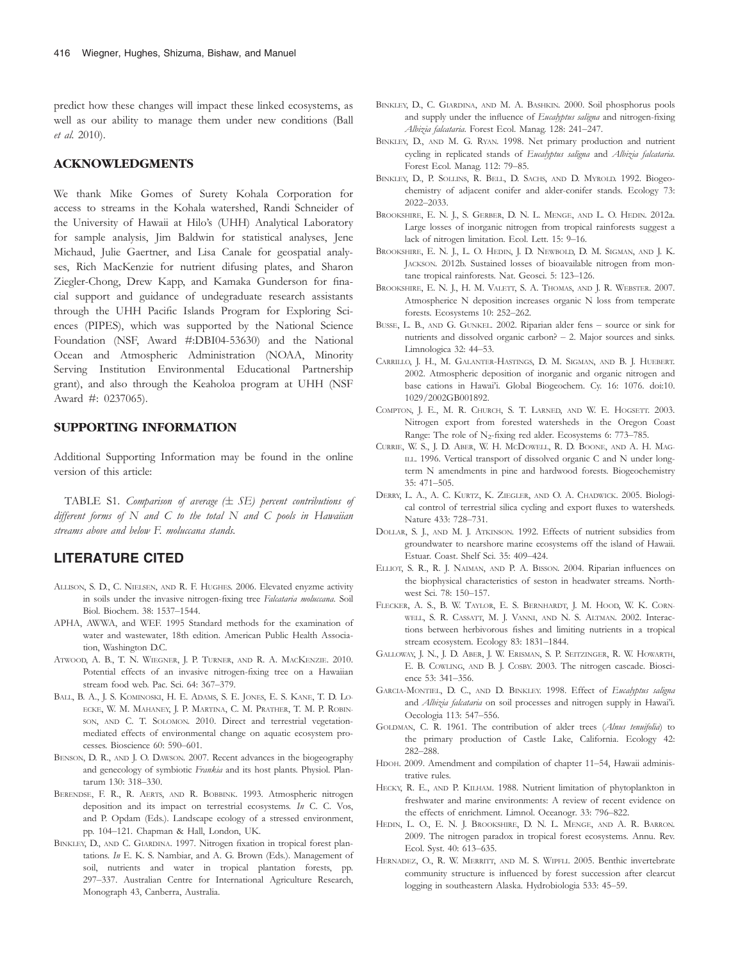predict how these changes will impact these linked ecosystems, as well as our ability to manage them under new conditions (Ball et al. 2010).

### ACKNOWLEDGMENTS

We thank Mike Gomes of Surety Kohala Corporation for access to streams in the Kohala watershed, Randi Schneider of the University of Hawaii at Hilo's (UHH) Analytical Laboratory for sample analysis, Jim Baldwin for statistical analyses, Jene Michaud, Julie Gaertner, and Lisa Canale for geospatial analyses, Rich MacKenzie for nutrient difusing plates, and Sharon Ziegler-Chong, Drew Kapp, and Kamaka Gunderson for finacial support and guidance of undegraduate research assistants through the UHH Pacific Islands Program for Exploring Sciences (PIPES), which was supported by the National Science Foundation (NSF, Award #:DBI04-53630) and the National Ocean and Atmospheric Administration (NOAA, Minority Serving Institution Environmental Educational Partnership grant), and also through the Keaholoa program at UHH (NSF Award #: 0237065).

# SUPPORTING INFORMATION

Additional Supporting Information may be found in the online version of this article:

TABLE S1. Comparison of average  $(\pm$  SE) percent contributions of different forms of  $N$  and  $C$  to the total  $N$  and  $C$  pools in Hawaiian streams above and below F. moluccana stands.

# LITERATURE CITED

- ALLISON, S. D., C. NIELSEN, AND R. F. HUGHES. 2006. Elevated enyzme activity in soils under the invasive nitrogen-fixing tree Falcataria moluccana. Soil Biol. Biochem. 38: 1537–1544.
- APHA, AWWA, and WEF. 1995 Standard methods for the examination of water and wastewater, 18th edition. American Public Health Association, Washington D.C.
- ATWOOD, A. B., T. N. WIEGNER, J. P. TURNER, AND R. A. MACKENZIE. 2010. Potential effects of an invasive nitrogen-fixing tree on a Hawaiian stream food web. Pac. Sci. 64: 367–379.
- BALL, B. A., J. S. KOMINOSKI, H. E. ADAMS, S. E. JONES, E. S. KANE, T. D. LO-ECKE, W. M. MAHANEY, J. P. MARTINA, C. M. PRATHER, T. M. P. ROBIN-SON, AND C. T. SOLOMON. 2010. Direct and terrestrial vegetationmediated effects of environmental change on aquatic ecosystem processes. Bioscience 60: 590–601.
- BENSON, D. R., AND J. O. DAWSON. 2007. Recent advances in the biogeography and genecology of symbiotic Frankia and its host plants. Physiol. Plantarum 130: 318–330.
- BERENDSE, F. R., R. AERTS, AND R. BOBBINK. 1993. Atmospheric nitrogen deposition and its impact on terrestrial ecosystems. In C. C. Vos, and P. Opdam (Eds.). Landscape ecology of a stressed environment, pp. 104–121. Chapman & Hall, London, UK.
- BINKLEY, D., AND C. GIARDINA. 1997. Nitrogen fixation in tropical forest plantations. In E. K. S. Nambiar, and A. G. Brown (Eds.). Management of soil, nutrients and water in tropical plantation forests, pp. 297–337. Australian Centre for International Agriculture Research, Monograph 43, Canberra, Australia.
- BINKLEY, D., C. GIARDINA, AND M. A. BASHKIN. 2000. Soil phosphorus pools and supply under the influence of Eucalyptus saligna and nitrogen-fixing Albizia falcataria. Forest Ecol. Manag. 128: 241–247.
- BINKLEY, D., AND M. G. RYAN. 1998. Net primary production and nutrient cycling in replicated stands of Eucalyptus saligna and Albizia falcataria. Forest Ecol. Manag. 112: 79–85.
- BINKLEY, D., P. SOLLINS, R. BELL, D. SACHS, AND D. MYROLD. 1992. Biogeochemistry of adjacent conifer and alder-conifer stands. Ecology 73: 2022–2033.
- BROOKSHIRE, E. N. J., S. GERBER, D. N. L. MENGE, AND L. O. HEDIN. 2012a. Large losses of inorganic nitrogen from tropical rainforests suggest a lack of nitrogen limitation. Ecol. Lett. 15: 9–16.
- BROOKSHIRE, E. N. J., L. O. HEDIN, J. D. NEWBOLD, D. M. SIGMAN, AND J. K. JACKSON. 2012b. Sustained losses of bioavailable nitrogen from montane tropical rainforests. Nat. Geosci. 5: 123–126.
- BROOKSHIRE, E. N. J., H. M. VALETT, S. A. THOMAS, AND J. R. WEBSTER. 2007. Atmospherice N deposition increases organic N loss from temperate forests. Ecosystems 10: 252–262.
- BUSSE, L. B., AND G. GUNKEL. 2002. Riparian alder fens source or sink for nutrients and dissolved organic carbon? – 2. Major sources and sinks. Limnologica 32: 44–53.
- CARRILLO, J. H., M. GALANTER-HASTINGS, D. M. SIGMAN, AND B. J. HUEBERT. 2002. Atmospheric deposition of inorganic and organic nitrogen and base cations in Hawai'i. Global Biogeochem. Cy. 16: 1076. doi:10. 1029/2002GB001892.
- COMPTON, J. E., M. R. CHURCH, S. T. LARNED, AND W. E. HOGSETT. 2003. Nitrogen export from forested watersheds in the Oregon Coast Range: The role of  $N_2$ -fixing red alder. Ecosystems 6: 773–785.
- CURRIE, W. S., J. D. ABER, W. H. MCDOWELL, R. D. BOONE, AND A. H. MAG-ILL. 1996. Vertical transport of dissolved organic C and N under longterm N amendments in pine and hardwood forests. Biogeochemistry 35: 471–505.
- DERRY, L. A., A. C. KURTZ, K. ZIEGLER, AND O. A. CHADWICK. 2005. Biological control of terrestrial silica cycling and export fluxes to watersheds. Nature 433: 728–731.
- DOLLAR, S. J., AND M. J. ATKINSON. 1992. Effects of nutrient subsidies from groundwater to nearshore marine ecosystems off the island of Hawaii. Estuar. Coast. Shelf Sci. 35: 409–424.
- ELLIOT, S. R., R. J. NAIMAN, AND P. A. BISSON. 2004. Riparian influences on the biophysical characteristics of seston in headwater streams. Northwest Sci. 78: 150–157.
- FLECKER, A. S., B. W. TAYLOR, E. S. BERNHARDT, J. M. HOOD, W. K. CORN-WELL, S. R. CASSATT, M. J. VANNI, AND N. S. ALTMAN. 2002. Interactions between herbivorous fishes and limiting nutrients in a tropical stream ecosystem. Ecology 83: 1831–1844.
- GALLOWAY, J. N., J. D. ABER, J. W. ERISMAN, S. P. SEITZINGER, R. W. HOWARTH, E. B. COWLING, AND B. J. COSBY. 2003. The nitrogen cascade. Bioscience 53: 341–356.
- GARCIA-MONTIEL, D. C., AND D. BINKLEY. 1998. Effect of Eucalyptus saligna and Albizia falcataria on soil processes and nitrogen supply in Hawai'i. Oecologia 113: 547–556.
- GOLDMAN, C. R. 1961. The contribution of alder trees (Alnus tenuifolia) to the primary production of Castle Lake, California. Ecology 42: 282–288.
- HDOH. 2009. Amendment and compilation of chapter 11–54, Hawaii administrative rules.
- HECKY, R. E., AND P. KILHAM. 1988. Nutrient limitation of phytoplankton in freshwater and marine environments: A review of recent evidence on the effects of enrichment. Limnol. Oceanogr. 33: 796–822.
- HEDIN, L. O., E. N. J. BROOKSHIRE, D. N. L. MENGE, AND A. R. BARRON. 2009. The nitrogen paradox in tropical forest ecosystems. Annu. Rev. Ecol. Syst. 40: 613–635.
- HERNADEZ, O., R. W. MERRITT, AND M. S. WIPFLI. 2005. Benthic invertebrate community structure is influenced by forest succession after clearcut logging in southeastern Alaska. Hydrobiologia 533: 45–59.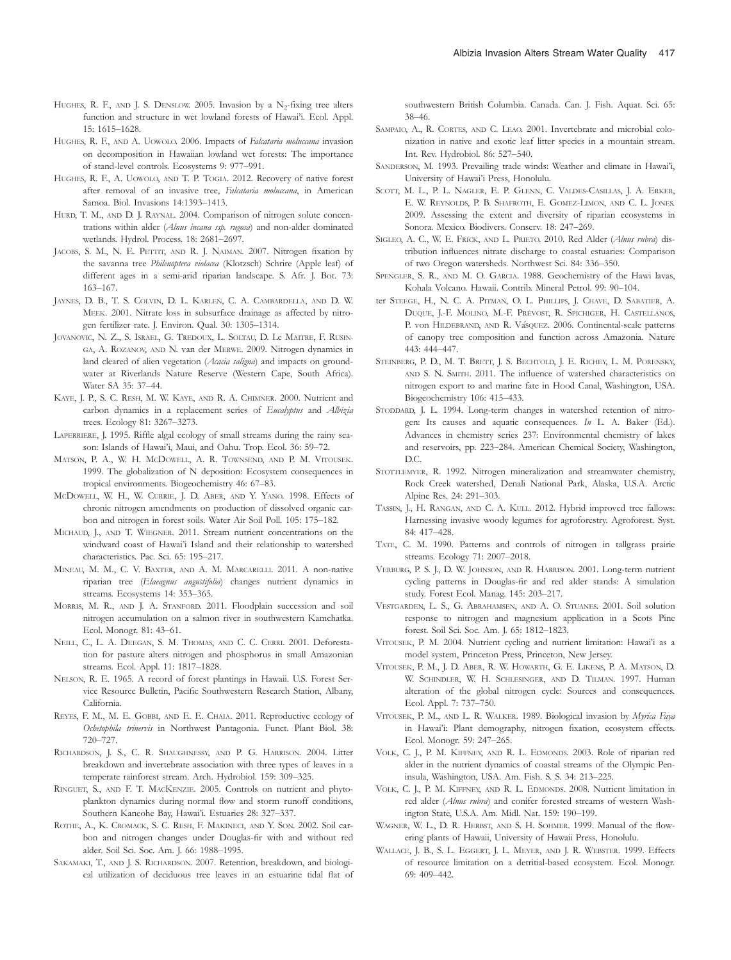- HUGHES, R. F., AND J. S. DENSLOW. 2005. Invasion by a  $N_2$ -fixing tree alters function and structure in wet lowland forests of Hawai'i. Ecol. Appl. 15: 1615–1628.
- HUGHES, R. F., AND A. UOWOLO. 2006. Impacts of Falcataria moluccana invasion on decomposition in Hawaiian lowland wet forests: The importance of stand-level controls. Ecosystems 9: 977–991.
- HUGHES, R. F., A. UOWOLO, AND T. P. TOGIA. 2012. Recovery of native forest after removal of an invasive tree, Falcataria moluccana, in American Samoa. Biol. Invasions 14:1393–1413.
- HURD, T. M., AND D. J. RAYNAL. 2004. Comparison of nitrogen solute concentrations within alder (Alnus incana ssp. rugosa) and non-alder dominated wetlands. Hydrol. Process. 18: 2681–2697.
- JACOBS, S. M., N. E. PETTIT, AND R. J. NAIMAN. 2007. Nitrogen fixation by the savanna tree Philenoptera violacea (Klotzsch) Schrire (Apple leaf) of different ages in a semi-arid riparian landscape. S. Afr. J. Bot. 73: 163–167.
- JAYNES, D. B., T. S. COLVIN, D. L. KARLEN, C. A. CAMBARDELLA, AND D. W. MEEK. 2001. Nitrate loss in subsurface drainage as affected by nitrogen fertilizer rate. J. Environ. Qual. 30: 1305–1314.
- JOVANOVIC, N. Z., S. ISRAEL, G. TREDOUX, L. SOLTAU, D. Le MAITRE, F. RUSIN-GA, A. ROZANOV, AND N. van der MERWE. 2009. Nitrogen dynamics in land cleared of alien vegetation (Acacia saligna) and impacts on groundwater at Riverlands Nature Reserve (Western Cape, South Africa). Water SA 35: 37–44.
- KAYE, J. P., S. C. RESH, M. W. KAYE, AND R. A. CHIMNER. 2000. Nutrient and carbon dynamics in a replacement series of Eucalyptus and Albizia trees. Ecology 81: 3267–3273.
- LAPERRIERE, J. 1995. Riffle algal ecology of small streams during the rainy season: Islands of Hawai'i, Maui, and Oahu. Trop. Ecol. 36: 59–72.
- MATSON, P. A., W. H. MCDOWELL, A. R. TOWNSEND, AND P. M. VITOUSEK. 1999. The globalization of N deposition: Ecosystem consequences in tropical environments. Biogeochemistry 46: 67–83.
- MCDOWELL, W. H., W. CURRIE, J. D. ABER, AND Y. YANO. 1998. Effects of chronic nitrogen amendments on production of dissolved organic carbon and nitrogen in forest soils. Water Air Soil Poll. 105: 175–182.
- MICHAUD, J., AND T. WIEGNER. 2011. Stream nutrient concentrations on the windward coast of Hawai'i Island and their relationship to watershed characteristics. Pac. Sci. 65: 195–217.
- MINEAU, M. M., C. V. BAXTER, AND A. M. MARCARELLI. 2011. A non-native riparian tree (Elaeagnus angustifolia) changes nutrient dynamics in streams. Ecosystems 14: 353–365.
- MORRIS, M. R., AND J. A. STANFORD. 2011. Floodplain succession and soil nitrogen accumulation on a salmon river in southwestern Kamchatka. Ecol. Monogr. 81: 43–61.
- NEILL, C., L. A. DEEGAN, S. M. THOMAS, AND C. C. CERRI. 2001. Deforestation for pasture alters nitrogen and phosphorus in small Amazonian streams. Ecol. Appl. 11: 1817–1828.
- NELSON, R. E. 1965. A record of forest plantings in Hawaii. U.S. Forest Service Resource Bulletin, Pacific Southwestern Research Station, Albany, California.
- REYES, F. M., M. E. GOBBI, AND E. E. CHAIA. 2011. Reproductive ecology of Ochetophila trinervis in Northwest Pantagonia. Funct. Plant Biol. 38: 720–727.
- RICHARDSON, J. S., C. R. SHAUGHNESSY, AND P. G. HARRISON. 2004. Litter breakdown and invertebrate association with three types of leaves in a temperate rainforest stream. Arch. Hydrobiol. 159: 309–325.
- RINGUET, S., AND F. T. MACKENZIE. 2005. Controls on nutrient and phytoplankton dynamics during normal flow and storm runoff conditions, Southern Kaneohe Bay, Hawai'i. Estuaries 28: 327–337.
- ROTHE, A., K. CROMACK, S. C. RESH, F. MAKINECI, AND Y. SON. 2002. Soil carbon and nitrogen changes under Douglas-fir with and without red alder. Soil Sci. Soc. Am. J. 66: 1988–1995.
- SAKAMAKI, T., AND J. S. RICHARDSON. 2007. Retention, breakdown, and biological utilization of deciduous tree leaves in an estuarine tidal flat of

southwestern British Columbia. Canada. Can. J. Fish. Aquat. Sci. 65: 38–46.

- SAMPAIO, A., R. CORTES, AND C. LEAO. 2001. Invertebrate and microbial colonization in native and exotic leaf litter species in a mountain stream. Int. Rev. Hydrobiol. 86: 527–540.
- SANDERSON, M. 1993. Prevailing trade winds: Weather and climate in Hawai'i, University of Hawai'i Press, Honolulu.
- SCOTT, M. L., P. L. NAGLER, E. P. GLENN, C. VALDES-CASILLAS, J. A. ERKER, E. W. REYNOLDS, P. B. SHAFROTH, E. GOMEZ-LIMON, AND C. L. JONES. 2009. Assessing the extent and diversity of riparian ecosystems in Sonora. Mexico. Biodivers. Conserv. 18: 247–269.
- SIGLEO, A. C., W. E. FRICK, AND L. PRIETO. 2010. Red Alder (Alnus rubra) distribution influences nitrate discharge to coastal estuaries: Comparison of two Oregon watersheds. Northwest Sci. 84: 336–350.
- SPENGLER, S. R., AND M. O. GARCIA. 1988. Geochemistry of the Hawi lavas, Kohala Volcano. Hawaii. Contrib. Mineral Petrol. 99: 90–104.
- ter STEEGE, H., N. C. A. PITMAN, O. L. PHILLIPS, J. CHAVE, D. SABATIER, A. DUQUE, J.-F. MOLINO, M.-F. PRÉVOST, R. SPICHIGER, H. CASTELLANOS, P. von HILDEBRAND, AND R. VásQUEZ. 2006. Continental-scale patterns of canopy tree composition and function across Amazonia. Nature 443: 444–447.
- STEINBERG, P. D., M. T. BRETT, J. S. BECHTOLD, J. E. RICHEY, L. M. PORENSKY, AND S. N. SMITH. 2011. The influence of watershed characteristics on nitrogen export to and marine fate in Hood Canal, Washington, USA. Biogeochemistry 106: 415–433.
- STODDARD, J. L. 1994. Long-term changes in watershed retention of nitrogen: Its causes and aquatic consequences. In L. A. Baker (Ed.). Advances in chemistry series 237: Environmental chemistry of lakes and reservoirs, pp. 223–284. American Chemical Society, Washington, D.C.
- STOTTLEMYER, R. 1992. Nitrogen mineralization and streamwater chemistry, Rock Creek watershed, Denali National Park, Alaska, U.S.A. Arctic Alpine Res. 24: 291–303.
- TASSIN, J., H. RANGAN, AND C. A. KULL. 2012. Hybrid improved tree fallows: Harnessing invasive woody legumes for agroforestry. Agroforest. Syst. 84: 417–428.
- TATE, C. M. 1990. Patterns and controls of nitrogen in tallgrass prairie streams. Ecology 71: 2007–2018.
- VERBURG, P. S. J., D. W. JOHNSON, AND R. HARRISON. 2001. Long-term nutrient cycling patterns in Douglas-fir and red alder stands: A simulation study. Forest Ecol. Manag. 145: 203–217.
- VESTGARDEN, L. S., G. ABRAHAMSEN, AND A. O. STUANES. 2001. Soil solution response to nitrogen and magnesium application in a Scots Pine forest. Soil Sci. Soc. Am. J. 65: 1812–1823.
- VITOUSEK, P. M. 2004. Nutrient cycling and nutrient limitation: Hawai'i as a model system, Princeton Press, Princeton, New Jersey.
- VITOUSEK, P. M., J. D. ABER, R. W. HOWARTH, G. E. LIKENS, P. A. MATSON, D. W. SCHINDLER, W. H. SCHLESINGER, AND D. TILMAN. 1997. Human alteration of the global nitrogen cycle: Sources and consequences. Ecol. Appl. 7: 737–750.
- VITOUSEK, P. M., AND L. R. WALKER. 1989. Biological invasion by Myrica Faya in Hawai'i: Plant demography, nitrogen fixation, ecosystem effects. Ecol. Monogr. 59: 247–265.
- VOLK, C. J., P. M. KIFFNEY, AND R. L. EDMONDS. 2003. Role of riparian red alder in the nutrient dynamics of coastal streams of the Olympic Peninsula, Washington, USA. Am. Fish. S. S. 34: 213–225.
- VOLK, C. J., P. M. KIFFNEY, AND R. L. EDMONDS. 2008. Nutrient limitation in red alder (Alnus rubra) and conifer forested streams of western Washington State, U.S.A. Am. Midl. Nat. 159: 190–199.
- WAGNER, W. L., D. R. HERBST, AND S. H. SOHMER. 1999. Manual of the flowering plants of Hawaii, University of Hawaii Press, Honolulu.
- WALLACE, J. B., S. L. EGGERT, J. L. MEYER, AND J. R. WEBSTER. 1999. Effects of resource limitation on a detritial-based ecosystem. Ecol. Monogr. 69: 409–442.